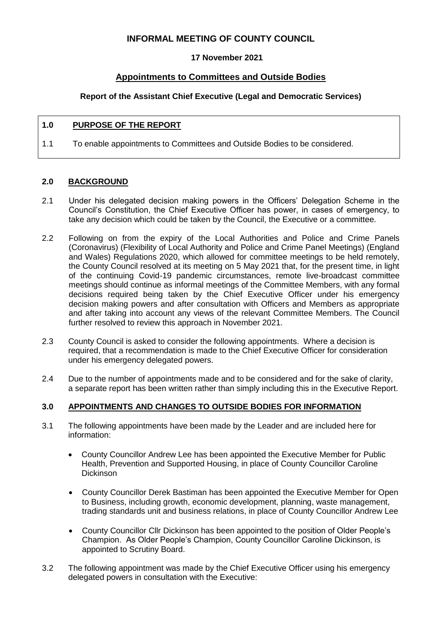# **INFORMAL MEETING OF COUNTY COUNCIL**

## **17 November 2021**

# **Appointments to Committees and Outside Bodies**

## **Report of the Assistant Chief Executive (Legal and Democratic Services)**

## **1.0 PURPOSE OF THE REPORT**

1.1 To enable appointments to Committees and Outside Bodies to be considered.

## **2.0 BACKGROUND**

- 2.1 Under his delegated decision making powers in the Officers' Delegation Scheme in the Council's Constitution, the Chief Executive Officer has power, in cases of emergency, to take any decision which could be taken by the Council, the Executive or a committee.
- 2.2 Following on from the expiry of the Local Authorities and Police and Crime Panels (Coronavirus) (Flexibility of Local Authority and Police and Crime Panel Meetings) (England and Wales) Regulations 2020, which allowed for committee meetings to be held remotely, the County Council resolved at its meeting on 5 May 2021 that, for the present time, in light of the continuing Covid-19 pandemic circumstances, remote live-broadcast committee meetings should continue as informal meetings of the Committee Members, with any formal decisions required being taken by the Chief Executive Officer under his emergency decision making powers and after consultation with Officers and Members as appropriate and after taking into account any views of the relevant Committee Members. The Council further resolved to review this approach in November 2021.
- 2.3 County Council is asked to consider the following appointments. Where a decision is required, that a recommendation is made to the Chief Executive Officer for consideration under his emergency delegated powers.
- 2.4 Due to the number of appointments made and to be considered and for the sake of clarity, a separate report has been written rather than simply including this in the Executive Report.

## **3.0 APPOINTMENTS AND CHANGES TO OUTSIDE BODIES FOR INFORMATION**

- 3.1 The following appointments have been made by the Leader and are included here for information:
	- County Councillor Andrew Lee has been appointed the Executive Member for Public Health, Prevention and Supported Housing, in place of County Councillor Caroline Dickinson
	- County Councillor Derek Bastiman has been appointed the Executive Member for Open to Business, including growth, economic development, planning, waste management, trading standards unit and business relations, in place of County Councillor Andrew Lee
	- County Councillor Cllr Dickinson has been appointed to the position of Older People's Champion. As Older People's Champion, County Councillor Caroline Dickinson, is appointed to Scrutiny Board.
- 3.2 The following appointment was made by the Chief Executive Officer using his emergency delegated powers in consultation with the Executive: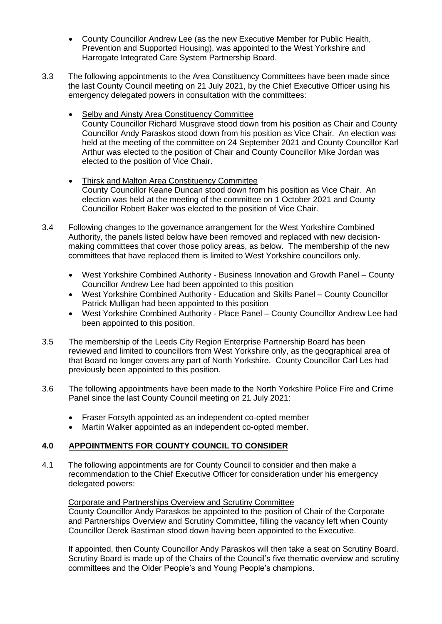- County Councillor Andrew Lee (as the new Executive Member for Public Health, Prevention and Supported Housing), was appointed to the West Yorkshire and Harrogate Integrated Care System Partnership Board.
- 3.3 The following appointments to the Area Constituency Committees have been made since the last County Council meeting on 21 July 2021, by the Chief Executive Officer using his emergency delegated powers in consultation with the committees:
	- Selby and Ainsty Area Constituency Committee County Councillor Richard Musgrave stood down from his position as Chair and County Councillor Andy Paraskos stood down from his position as Vice Chair. An election was held at the meeting of the committee on 24 September 2021 and County Councillor Karl Arthur was elected to the position of Chair and County Councillor Mike Jordan was elected to the position of Vice Chair.
	- Thirsk and Malton Area Constituency Committee County Councillor Keane Duncan stood down from his position as Vice Chair. An election was held at the meeting of the committee on 1 October 2021 and County Councillor Robert Baker was elected to the position of Vice Chair.
- 3.4 Following changes to the governance arrangement for the West Yorkshire Combined Authority, the panels listed below have been removed and replaced with new decisionmaking committees that cover those policy areas, as below. The membership of the new committees that have replaced them is limited to West Yorkshire councillors only.
	- West Yorkshire Combined Authority Business Innovation and Growth Panel County Councillor Andrew Lee had been appointed to this position
	- West Yorkshire Combined Authority Education and Skills Panel County Councillor Patrick Mulligan had been appointed to this position
	- West Yorkshire Combined Authority Place Panel County Councillor Andrew Lee had been appointed to this position.
- 3.5 The membership of the Leeds City Region Enterprise Partnership Board has been reviewed and limited to councillors from West Yorkshire only, as the geographical area of that Board no longer covers any part of North Yorkshire. County Councillor Carl Les had previously been appointed to this position.
- 3.6 The following appointments have been made to the North Yorkshire Police Fire and Crime Panel since the last County Council meeting on 21 July 2021:
	- Fraser Forsyth appointed as an independent co-opted member
	- Martin Walker appointed as an independent co-opted member.

## **4.0 APPOINTMENTS FOR COUNTY COUNCIL TO CONSIDER**

4.1 The following appointments are for County Council to consider and then make a recommendation to the Chief Executive Officer for consideration under his emergency delegated powers:

## Corporate and Partnerships Overview and Scrutiny Committee

County Councillor Andy Paraskos be appointed to the position of Chair of the Corporate and Partnerships Overview and Scrutiny Committee, filling the vacancy left when County Councillor Derek Bastiman stood down having been appointed to the Executive.

If appointed, then County Councillor Andy Paraskos will then take a seat on Scrutiny Board. Scrutiny Board is made up of the Chairs of the Council's five thematic overview and scrutiny committees and the Older People's and Young People's champions.